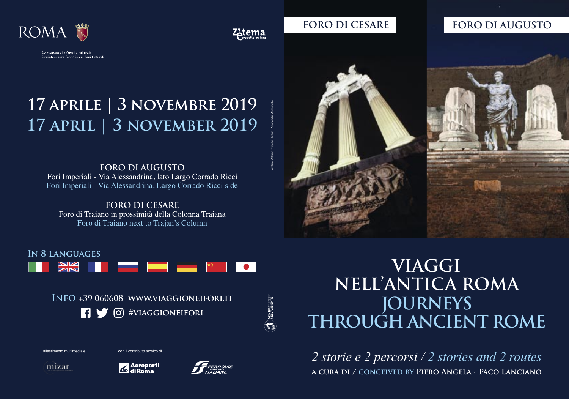



## **FORO DI CESARE FORO DI AUGUSTO**

# **17 aprile | 3 novembre 2019 17 april | 3 november 2019**

**FORO DI AUGUSTO**  Fori Imperiali - Via Alessandrina, lato Largo Corrado Ricci Fori Imperiali - Via Alessandrina, Largo Corrado Ricci side

**FORO DI CESARE**  Foro di Traiano in prossimità della Colonna Traiana Foro di Traiano next to Trajan's Column



## **In 8 languages**



**Info +39 060608 www.viaggioneifori.it 1** (**b**) #VIAGGIONEIFORI





**A** Aeroporti





# **VIAGGI NELL'ANTICA ROMA JOURNEYS THROUGH ANCIENT ROME**

**a cura di / conceived by Piero Angela - Paco Lanciano** *2 storie e 2 percorsi / 2 stories and 2 routes*